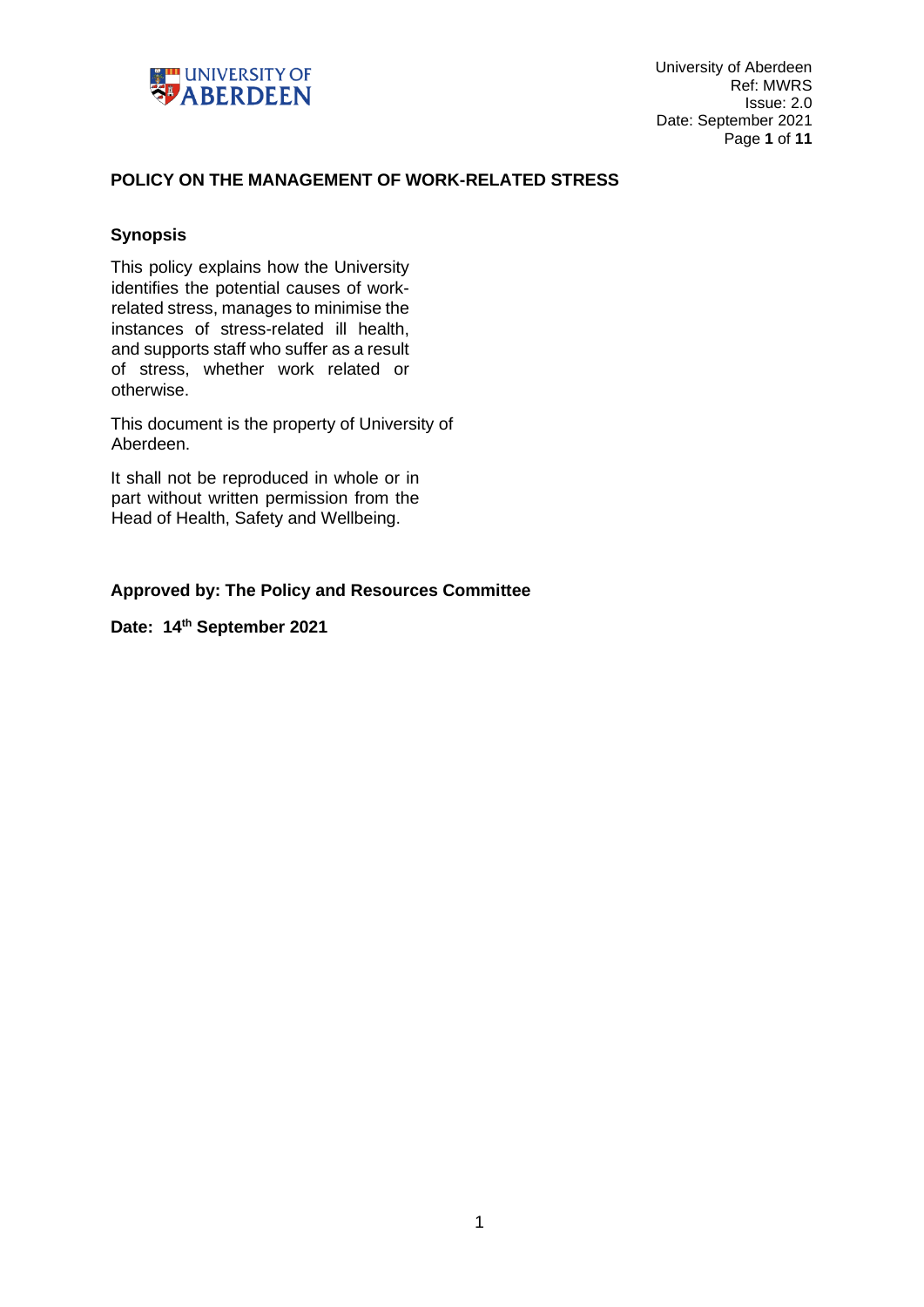

# **POLICY ON THE MANAGEMENT OF WORK-RELATED STRESS**

# **Synopsis**

This policy explains how the University identifies the potential causes of workrelated stress, manages to minimise the instances of stress-related ill health, and supports staff who suffer as a result of stress, whether work related or otherwise.

This document is the property of University of Aberdeen.

It shall not be reproduced in whole or in part without written permission from the Head of Health, Safety and Wellbeing.

# **Approved by: The Policy and Resources Committee**

**Date: 14th September 2021**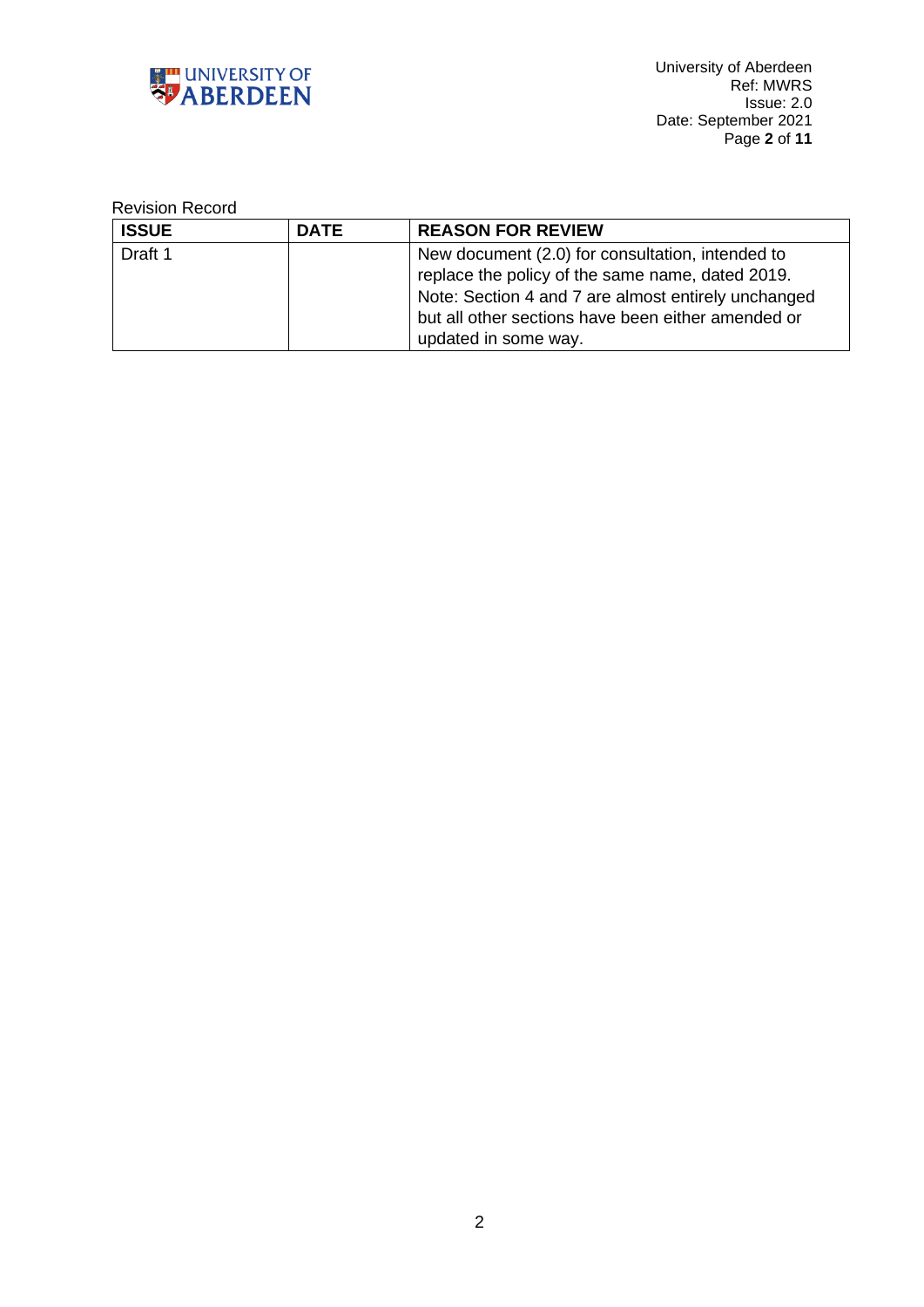

# Revision Record

| <b>ISSUE</b> | <b>DATE</b> | <b>REASON FOR REVIEW</b>                            |
|--------------|-------------|-----------------------------------------------------|
| Draft 1      |             | New document (2.0) for consultation, intended to    |
|              |             | replace the policy of the same name, dated 2019.    |
|              |             | Note: Section 4 and 7 are almost entirely unchanged |
|              |             | but all other sections have been either amended or  |
|              |             | updated in some way.                                |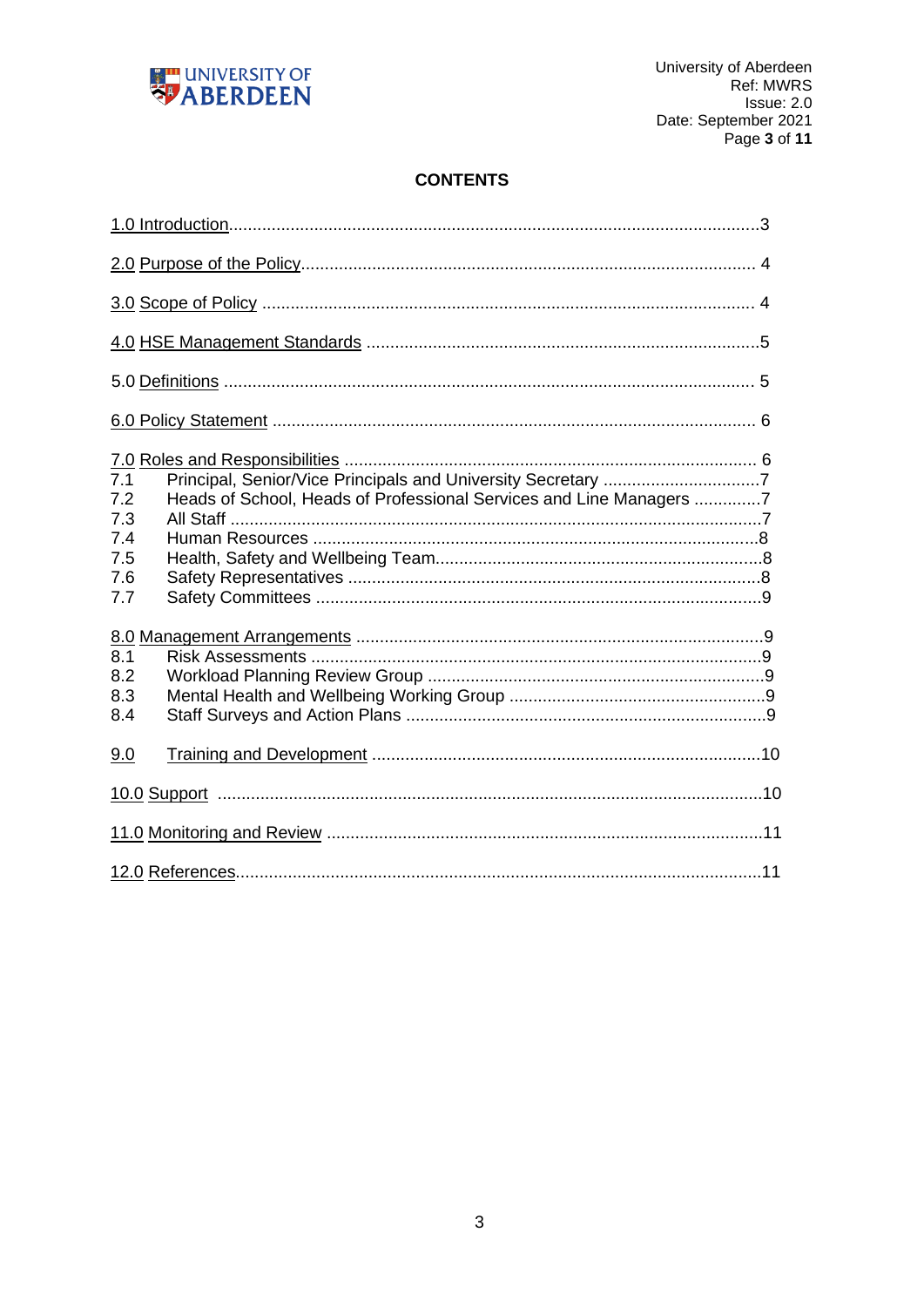

# **CONTENTS**

| 7.1<br>Heads of School, Heads of Professional Services and Line Managers 7<br>7.2<br>7.3<br>7.4<br>7.5<br>7.6<br>7.7 |  |
|----------------------------------------------------------------------------------------------------------------------|--|
|                                                                                                                      |  |
| 8.1<br>8.2<br>8.3<br>8.4                                                                                             |  |
| 9.0                                                                                                                  |  |
|                                                                                                                      |  |
|                                                                                                                      |  |
|                                                                                                                      |  |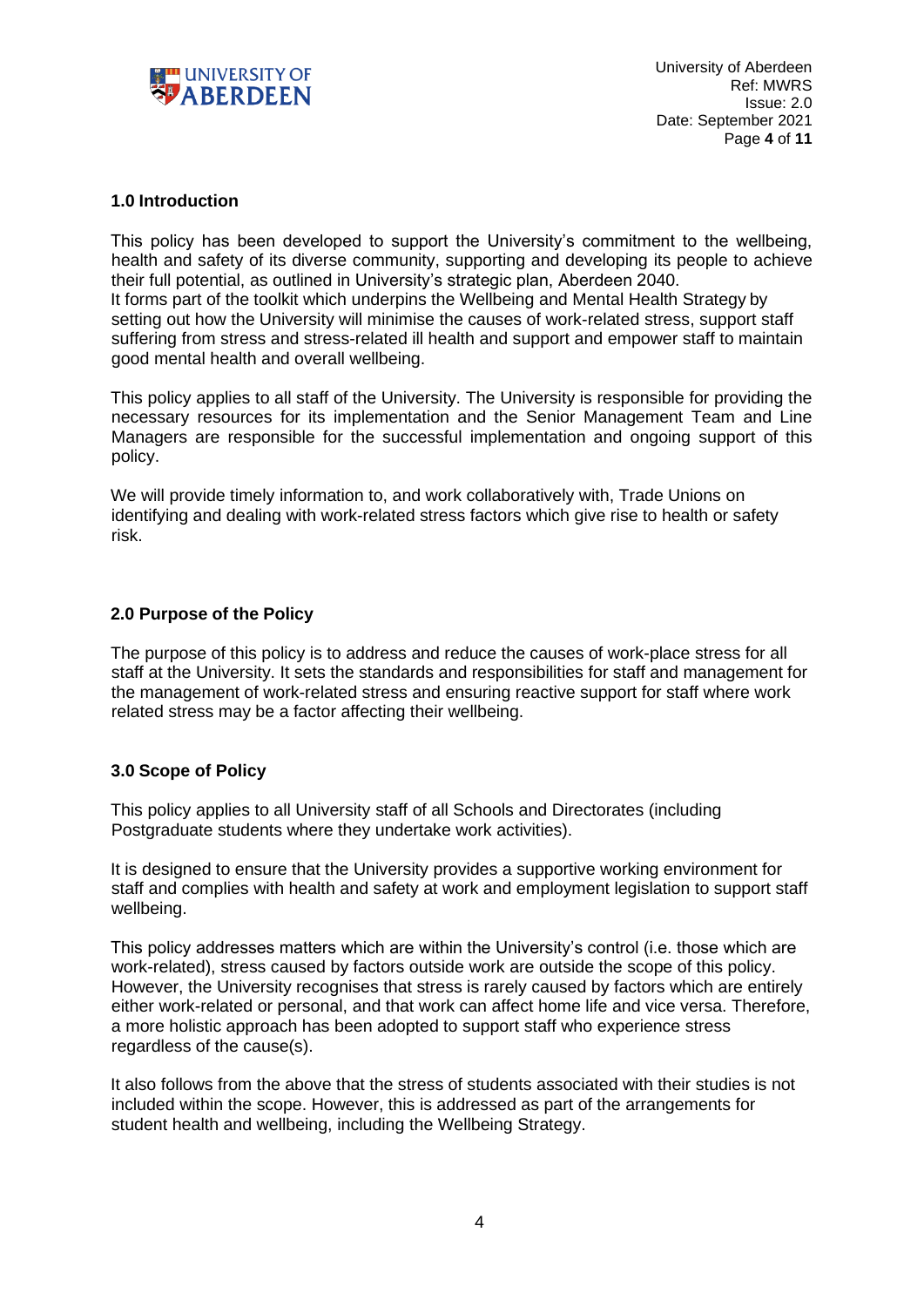

# **1.0 Introduction**

This policy has been developed to support the University's commitment to the wellbeing, health and safety of its diverse community, supporting and developing its people to achieve their full potential, as outlined in University's strategic plan, Aberdeen 2040. It forms part of the toolkit which underpins the Wellbeing and Mental Health Strategy by setting out how the University will minimise the causes of work-related stress, support staff suffering from stress and stress-related ill health and support and empower staff to maintain good mental health and overall wellbeing.

This policy applies to all staff of the University. The University is responsible for providing the necessary resources for its implementation and the Senior Management Team and Line Managers are responsible for the successful implementation and ongoing support of this policy.

We will provide timely information to, and work collaboratively with, Trade Unions on identifying and dealing with work-related stress factors which give rise to health or safety risk.

# **2.0 Purpose of the Policy**

The purpose of this policy is to address and reduce the causes of work-place stress for all staff at the University. It sets the standards and responsibilities for staff and management for the management of work-related stress and ensuring reactive support for staff where work related stress may be a factor affecting their wellbeing.

# **3.0 Scope of Policy**

This policy applies to all University staff of all Schools and Directorates (including Postgraduate students where they undertake work activities).

It is designed to ensure that the University provides a supportive working environment for staff and complies with health and safety at work and employment legislation to support staff wellbeing.

This policy addresses matters which are within the University's control (i.e. those which are work-related), stress caused by factors outside work are outside the scope of this policy. However, the University recognises that stress is rarely caused by factors which are entirely either work-related or personal, and that work can affect home life and vice versa. Therefore, a more holistic approach has been adopted to support staff who experience stress regardless of the cause(s).

It also follows from the above that the stress of students associated with their studies is not included within the scope. However, this is addressed as part of the arrangements for student health and wellbeing, including the Wellbeing Strategy.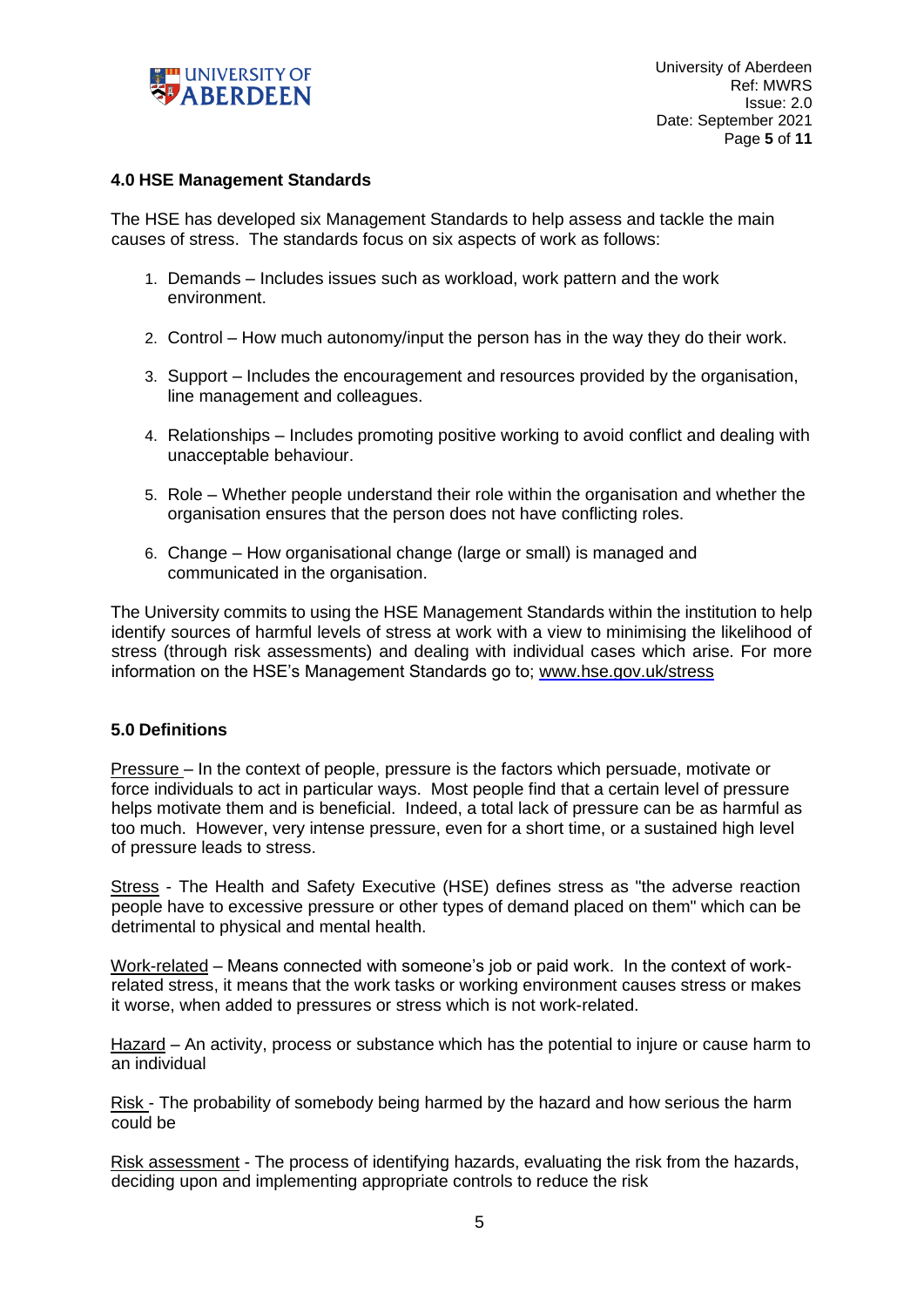

### **4.0 HSE Management Standards**

The HSE has developed six Management Standards to help assess and tackle the main causes of stress. The standards focus on six aspects of work as follows:

- 1. Demands Includes issues such as workload, work pattern and the work environment.
- 2. Control How much autonomy/input the person has in the way they do their work.
- 3. Support Includes the encouragement and resources provided by the organisation, line management and colleagues.
- 4. Relationships Includes promoting positive working to avoid conflict and dealing with unacceptable behaviour.
- 5. Role Whether people understand their role within the organisation and whether the organisation ensures that the person does not have conflicting roles.
- 6. Change How organisational change (large or small) is managed and communicated in the organisation.

The University commits to using the HSE Management Standards within the institution to help identify sources of harmful levels of stress at work with a view to minimising the likelihood of stress (through risk assessments) and dealing with individual cases which arise. For more information on the HSE's Management Standards go to; [www.hse.gov.uk/stress](http://www.hse.gov.uk/stress) 

#### **5.0 Definitions**

Pressure – In the context of people, pressure is the factors which persuade, motivate or force individuals to act in particular ways. Most people find that a certain level of pressure helps motivate them and is beneficial. Indeed, a total lack of pressure can be as harmful as too much. However, very intense pressure, even for a short time, or a sustained high level of pressure leads to stress.

Stress - The Health and Safety Executive (HSE) defines stress as "the adverse reaction people have to excessive pressure or other types of demand placed on them" which can be detrimental to physical and mental health.

Work-related – Means connected with someone's job or paid work. In the context of workrelated stress, it means that the work tasks or working environment causes stress or makes it worse, when added to pressures or stress which is not work-related.

Hazard – An activity, process or substance which has the potential to injure or cause harm to an individual

Risk - The probability of somebody being harmed by the hazard and how serious the harm could be

Risk assessment - The process of identifying hazards, evaluating the risk from the hazards, deciding upon and implementing appropriate controls to reduce the risk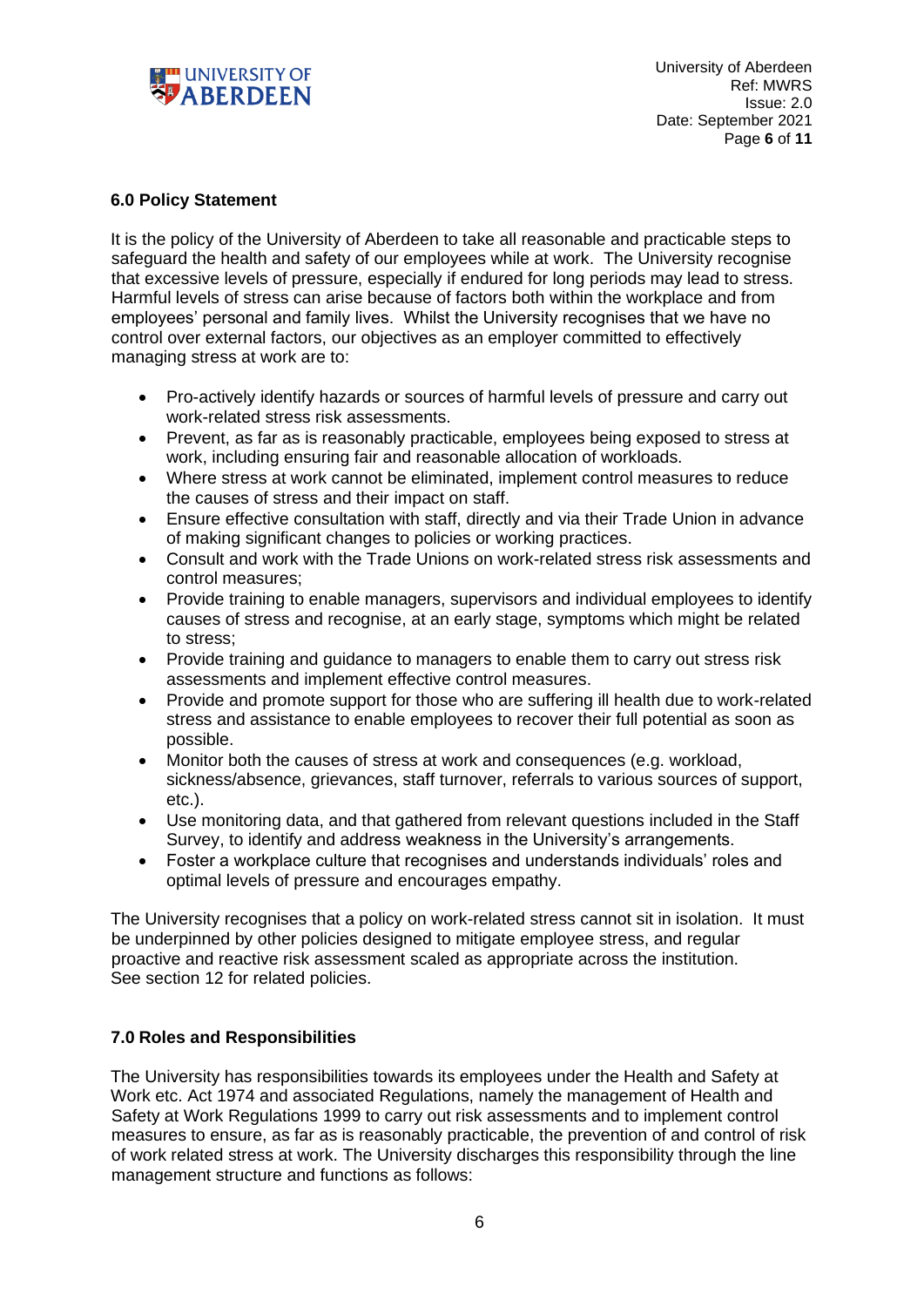

# **6.0 Policy Statement**

It is the policy of the University of Aberdeen to take all reasonable and practicable steps to safeguard the health and safety of our employees while at work. The University recognise that excessive levels of pressure, especially if endured for long periods may lead to stress. Harmful levels of stress can arise because of factors both within the workplace and from employees' personal and family lives. Whilst the University recognises that we have no control over external factors, our objectives as an employer committed to effectively managing stress at work are to:

- Pro-actively identify hazards or sources of harmful levels of pressure and carry out work-related stress risk assessments.
- Prevent, as far as is reasonably practicable, employees being exposed to stress at work, including ensuring fair and reasonable allocation of workloads.
- Where stress at work cannot be eliminated, implement control measures to reduce the causes of stress and their impact on staff.
- Ensure effective consultation with staff, directly and via their Trade Union in advance of making significant changes to policies or working practices.
- Consult and work with the Trade Unions on work-related stress risk assessments and control measures;
- Provide training to enable managers, supervisors and individual employees to identify causes of stress and recognise, at an early stage, symptoms which might be related to stress;
- Provide training and quidance to managers to enable them to carry out stress risk assessments and implement effective control measures.
- Provide and promote support for those who are suffering ill health due to work-related stress and assistance to enable employees to recover their full potential as soon as possible.
- Monitor both the causes of stress at work and consequences (e.g. workload, sickness/absence, grievances, staff turnover, referrals to various sources of support, etc.).
- Use monitoring data, and that gathered from relevant questions included in the Staff Survey, to identify and address weakness in the University's arrangements.
- Foster a workplace culture that recognises and understands individuals' roles and optimal levels of pressure and encourages empathy.

The University recognises that a policy on work-related stress cannot sit in isolation. It must be underpinned by other policies designed to mitigate employee stress, and regular proactive and reactive risk assessment scaled as appropriate across the institution. See section 12 for related policies.

# **7.0 Roles and Responsibilities**

The University has responsibilities towards its employees under the Health and Safety at Work etc. Act 1974 and associated Regulations, namely the management of Health and Safety at Work Regulations 1999 to carry out risk assessments and to implement control measures to ensure, as far as is reasonably practicable, the prevention of and control of risk of work related stress at work. The University discharges this responsibility through the line management structure and functions as follows: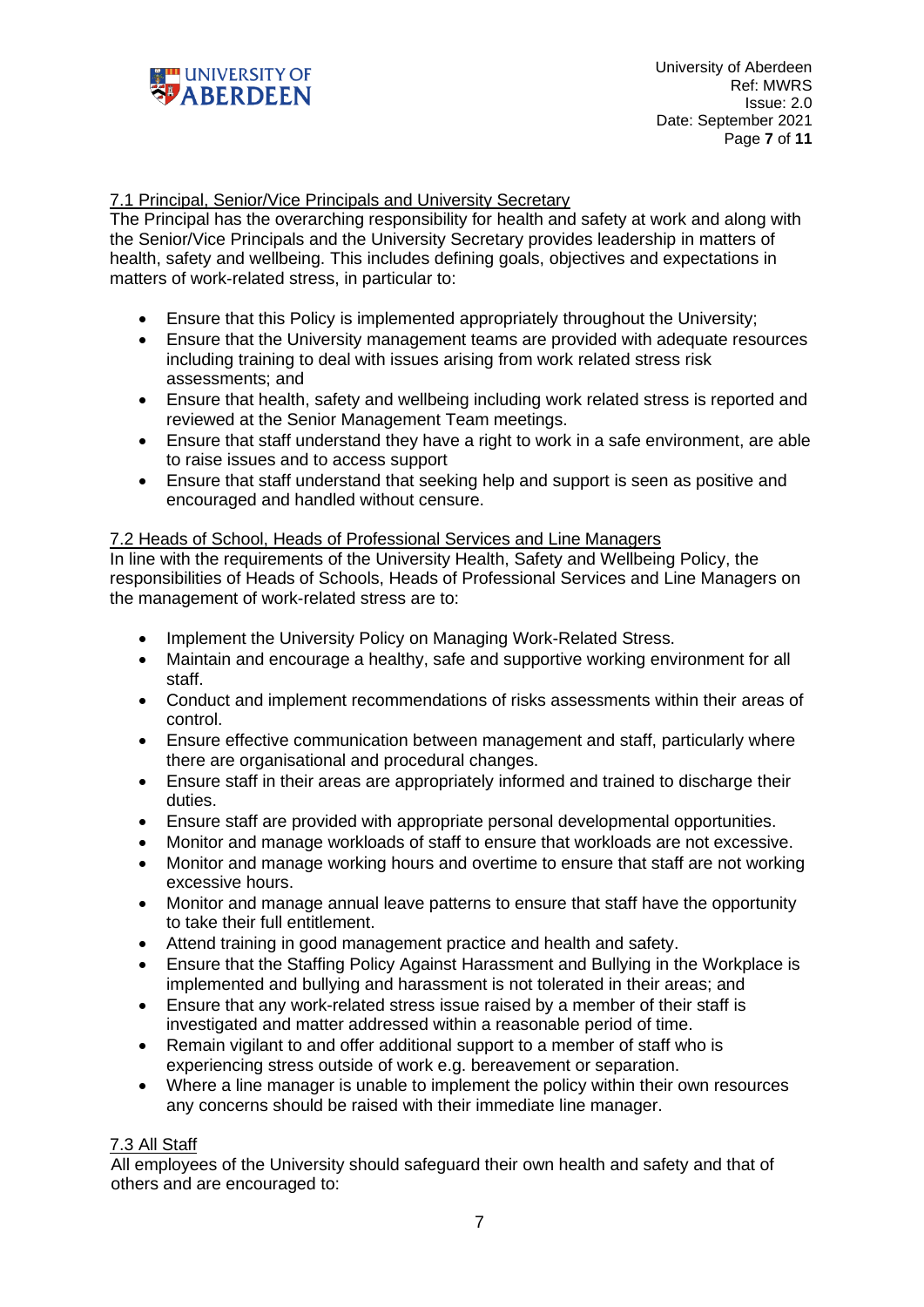

### 7.1 Principal, Senior/Vice Principals and University Secretary

The Principal has the overarching responsibility for health and safety at work and along with the Senior/Vice Principals and the University Secretary provides leadership in matters of health, safety and wellbeing. This includes defining goals, objectives and expectations in matters of work-related stress, in particular to:

- Ensure that this Policy is implemented appropriately throughout the University;
- Ensure that the University management teams are provided with adequate resources including training to deal with issues arising from work related stress risk assessments; and
- Ensure that health, safety and wellbeing including work related stress is reported and reviewed at the Senior Management Team meetings.
- Ensure that staff understand they have a right to work in a safe environment, are able to raise issues and to access support
- Ensure that staff understand that seeking help and support is seen as positive and encouraged and handled without censure.

### 7.2 Heads of School, Heads of Professional Services and Line Managers

In line with the requirements of the University Health, Safety and Wellbeing Policy, the responsibilities of Heads of Schools, Heads of Professional Services and Line Managers on the management of work-related stress are to:

- Implement the University Policy on Managing Work-Related Stress.
- Maintain and encourage a healthy, safe and supportive working environment for all staff.
- Conduct and implement recommendations of risks assessments within their areas of control.
- Ensure effective communication between management and staff, particularly where there are organisational and procedural changes.
- Ensure staff in their areas are appropriately informed and trained to discharge their duties.
- Ensure staff are provided with appropriate personal developmental opportunities.
- Monitor and manage workloads of staff to ensure that workloads are not excessive.
- Monitor and manage working hours and overtime to ensure that staff are not working excessive hours.
- Monitor and manage annual leave patterns to ensure that staff have the opportunity to take their full entitlement.
- Attend training in good management practice and health and safety.
- Ensure that the Staffing Policy Against Harassment and Bullying in the Workplace is implemented and bullying and harassment is not tolerated in their areas; and
- Ensure that any work-related stress issue raised by a member of their staff is investigated and matter addressed within a reasonable period of time.
- Remain vigilant to and offer additional support to a member of staff who is experiencing stress outside of work e.g. bereavement or separation.
- Where a line manager is unable to implement the policy within their own resources any concerns should be raised with their immediate line manager.

# 7.3 All Staff

All employees of the University should safeguard their own health and safety and that of others and are encouraged to: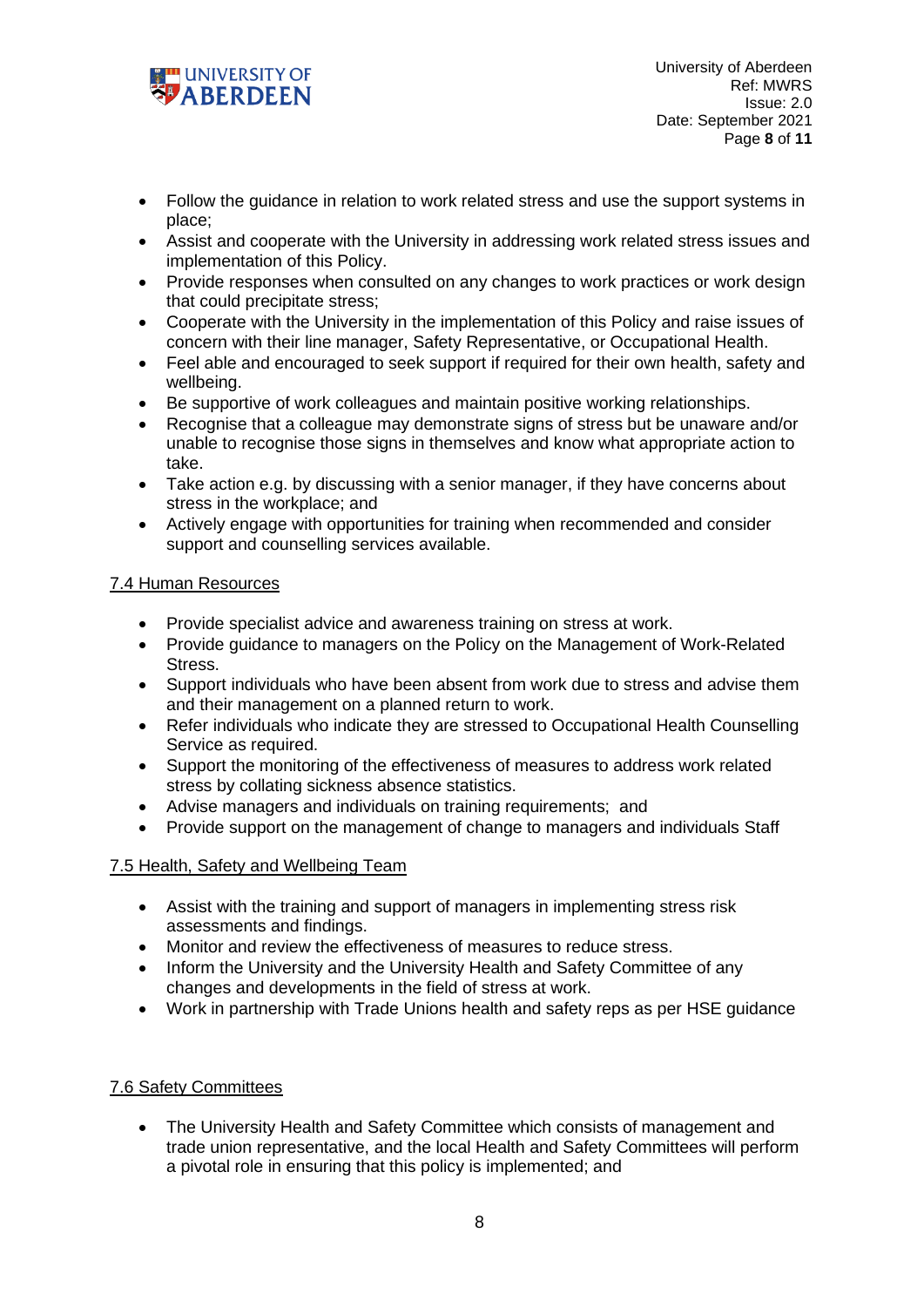

- Follow the guidance in relation to work related stress and use the support systems in place;
- Assist and cooperate with the University in addressing work related stress issues and implementation of this Policy.
- Provide responses when consulted on any changes to work practices or work design that could precipitate stress;
- Cooperate with the University in the implementation of this Policy and raise issues of concern with their line manager, Safety Representative, or Occupational Health.
- Feel able and encouraged to seek support if required for their own health, safety and wellbeing.
- Be supportive of work colleagues and maintain positive working relationships.
- Recognise that a colleague may demonstrate signs of stress but be unaware and/or unable to recognise those signs in themselves and know what appropriate action to take.
- Take action e.g. by discussing with a senior manager, if they have concerns about stress in the workplace; and
- Actively engage with opportunities for training when recommended and consider support and counselling services available.

### 7.4 Human Resources

- Provide specialist advice and awareness training on stress at work.
- Provide guidance to managers on the Policy on the Management of Work-Related Stress.
- Support individuals who have been absent from work due to stress and advise them and their management on a planned return to work.
- Refer individuals who indicate they are stressed to Occupational Health Counselling Service as required.
- Support the monitoring of the effectiveness of measures to address work related stress by collating sickness absence statistics.
- Advise managers and individuals on training requirements; and
- Provide support on the management of change to managers and individuals Staff

#### 7.5 Health, Safety and Wellbeing Team

- Assist with the training and support of managers in implementing stress risk assessments and findings.
- Monitor and review the effectiveness of measures to reduce stress.
- Inform the University and the University Health and Safety Committee of any changes and developments in the field of stress at work.
- Work in partnership with Trade Unions health and safety reps as per HSE guidance

#### 7.6 Safety Committees

• The University Health and Safety Committee which consists of management and trade union representative, and the local Health and Safety Committees will perform a pivotal role in ensuring that this policy is implemented; and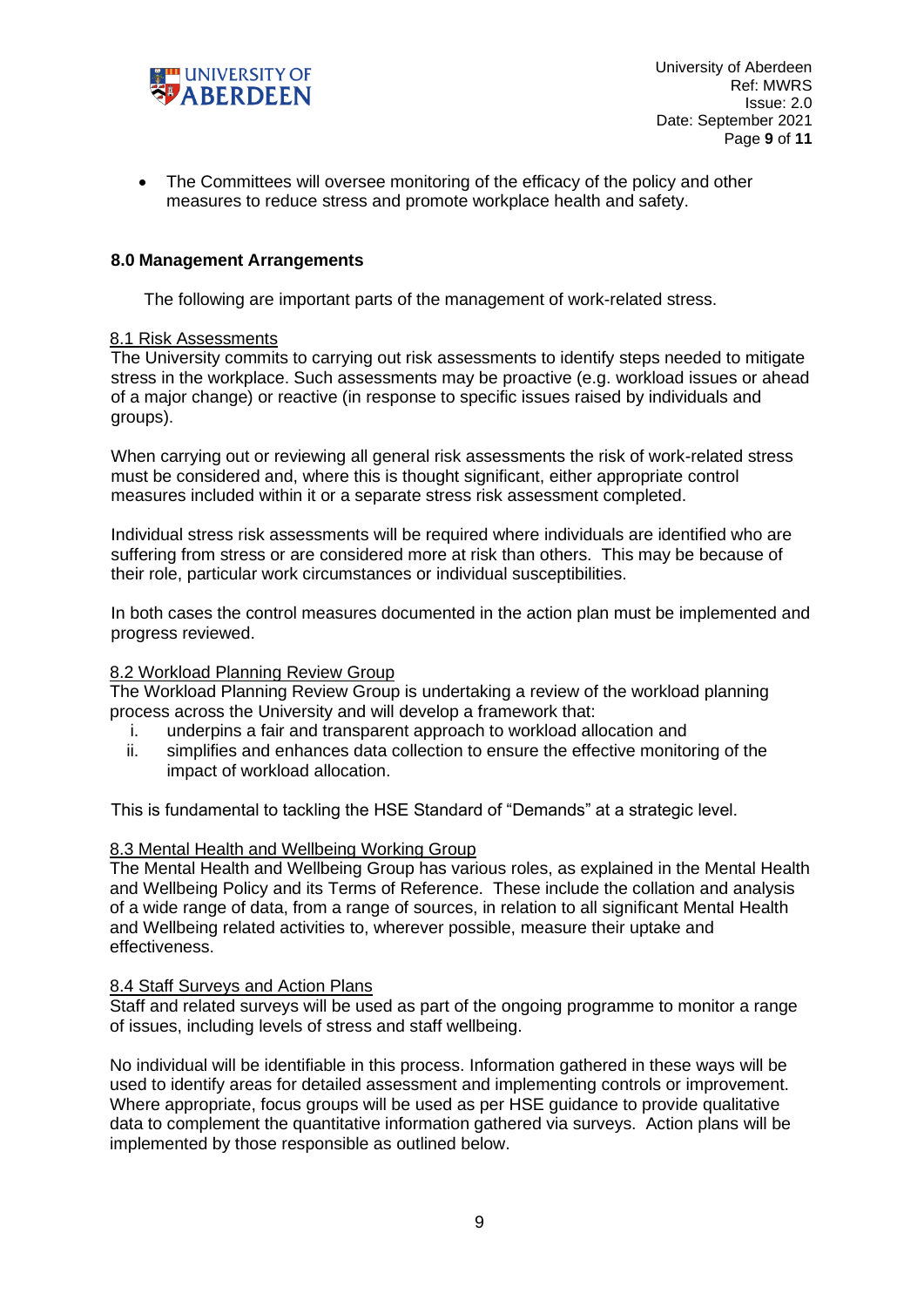

• The Committees will oversee monitoring of the efficacy of the policy and other measures to reduce stress and promote workplace health and safety.

### **8.0 Management Arrangements**

The following are important parts of the management of work-related stress.

#### 8.1 Risk Assessments

The University commits to carrying out risk assessments to identify steps needed to mitigate stress in the workplace. Such assessments may be proactive (e.g. workload issues or ahead of a major change) or reactive (in response to specific issues raised by individuals and groups).

When carrying out or reviewing all general risk assessments the risk of work-related stress must be considered and, where this is thought significant, either appropriate control measures included within it or a separate stress risk assessment completed.

Individual stress risk assessments will be required where individuals are identified who are suffering from stress or are considered more at risk than others. This may be because of their role, particular work circumstances or individual susceptibilities.

In both cases the control measures documented in the action plan must be implemented and progress reviewed.

#### 8.2 Workload Planning Review Group

The Workload Planning Review Group is undertaking a review of the workload planning process across the University and will develop a framework that:

- i. underpins a fair and transparent approach to workload allocation and
- ii. simplifies and enhances data collection to ensure the effective monitoring of the impact of workload allocation.

This is fundamental to tackling the HSE Standard of "Demands" at a strategic level.

#### 8.3 Mental Health and Wellbeing Working Group

The Mental Health and Wellbeing Group has various roles, as explained in the Mental Health and Wellbeing Policy and its Terms of Reference. These include the collation and analysis of a wide range of data, from a range of sources, in relation to all significant Mental Health and Wellbeing related activities to, wherever possible, measure their uptake and effectiveness.

#### 8.4 Staff Surveys and Action Plans

Staff and related surveys will be used as part of the ongoing programme to monitor a range of issues, including levels of stress and staff wellbeing.

No individual will be identifiable in this process. Information gathered in these ways will be used to identify areas for detailed assessment and implementing controls or improvement. Where appropriate, focus groups will be used as per HSE guidance to provide qualitative data to complement the quantitative information gathered via surveys. Action plans will be implemented by those responsible as outlined below.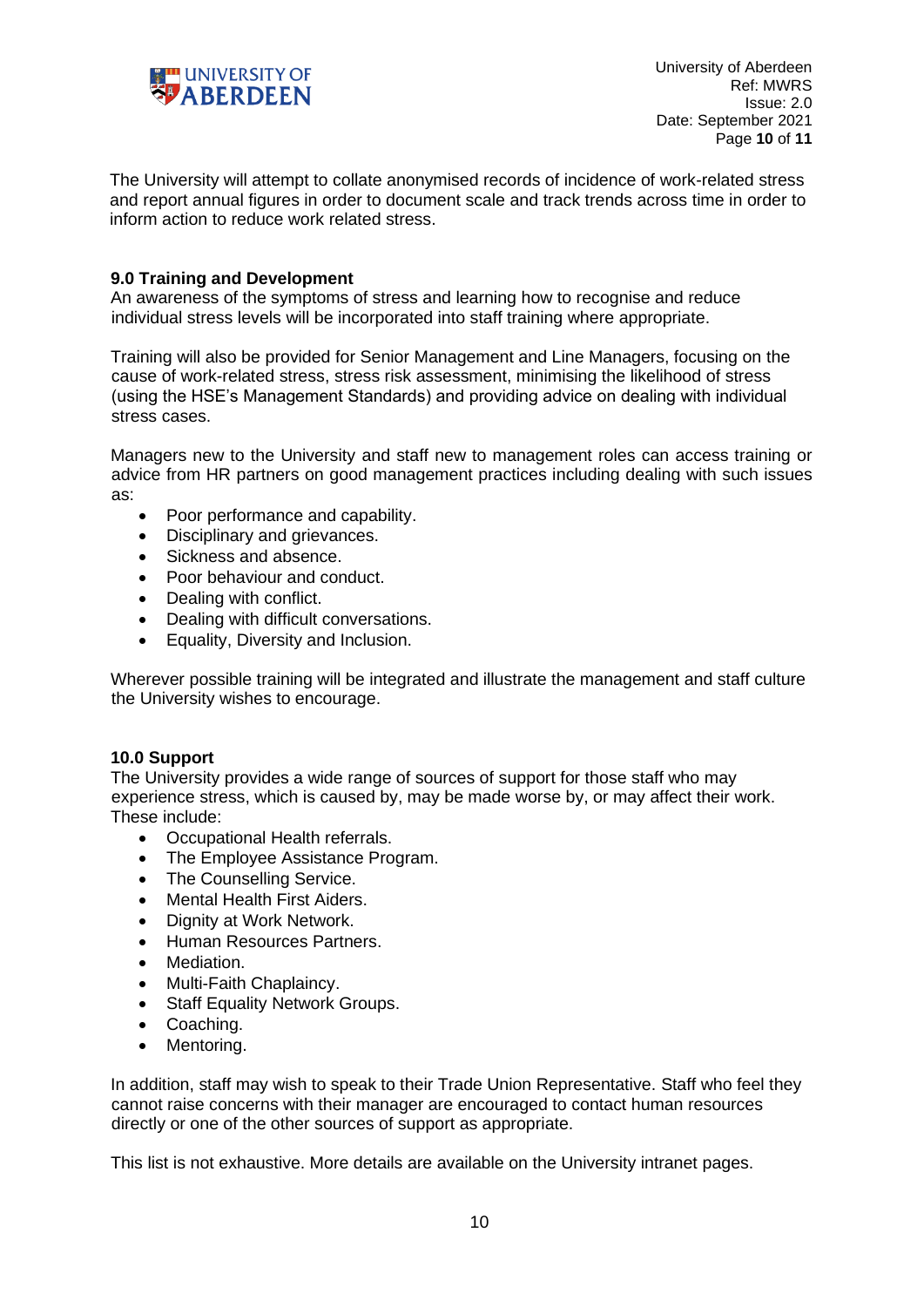

The University will attempt to collate anonymised records of incidence of work-related stress and report annual figures in order to document scale and track trends across time in order to inform action to reduce work related stress.

### **9.0 Training and Development**

An awareness of the symptoms of stress and learning how to recognise and reduce individual stress levels will be incorporated into staff training where appropriate.

Training will also be provided for Senior Management and Line Managers, focusing on the cause of work-related stress, stress risk assessment, minimising the likelihood of stress (using the HSE's Management Standards) and providing advice on dealing with individual stress cases.

Managers new to the University and staff new to management roles can access training or advice from HR partners on good management practices including dealing with such issues as:

- Poor performance and capability.
- Disciplinary and grievances.
- Sickness and absence.
- Poor behaviour and conduct.
- Dealing with conflict.
- Dealing with difficult conversations.
- Equality, Diversity and Inclusion.

Wherever possible training will be integrated and illustrate the management and staff culture the University wishes to encourage.

#### **10.0 Support**

The University provides a wide range of sources of support for those staff who may experience stress, which is caused by, may be made worse by, or may affect their work. These include:

- Occupational Health referrals.
- The Employee Assistance Program.
- The Counselling Service.
- Mental Health First Aiders.
- Dignity at Work Network.
- Human Resources Partners.
- Mediation.
- Multi-Faith Chaplaincy.
- Staff Equality Network Groups.
- Coaching.
- Mentoring.

In addition, staff may wish to speak to their Trade Union Representative. Staff who feel they cannot raise concerns with their manager are encouraged to contact human resources directly or one of the other sources of support as appropriate.

This list is not exhaustive. More details are available on the University intranet pages.